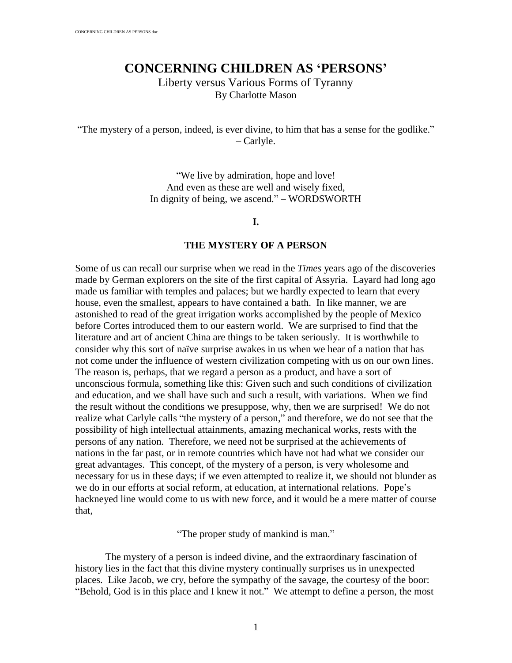# **CONCERNING CHILDREN AS 'PERSONS**

Liberty versus Various Forms of Tyranny By Charlotte Mason

"The mystery of a person, indeed, is ever divine, to him that has a sense for the godlike."  $-$  Carlyle.

> "We live by admiration, hope and love! And even as these are well and wisely fixed, In dignity of being, we ascend." – WORDSWORTH

#### **I.**

#### **THE MYSTERY OF A PERSON**

Some of us can recall our surprise when we read in the *Times* years ago of the discoveries made by German explorers on the site of the first capital of Assyria. Layard had long ago made us familiar with temples and palaces; but we hardly expected to learn that every house, even the smallest, appears to have contained a bath. In like manner, we are astonished to read of the great irrigation works accomplished by the people of Mexico before Cortes introduced them to our eastern world. We are surprised to find that the literature and art of ancient China are things to be taken seriously. It is worthwhile to consider why this sort of naıve surprise awakes in us when we hear of a nation that has not come under the influence of western civilization competing with us on our own lines. The reason is, perhaps, that we regard a person as a product, and have a sort of unconscious formula, something like this: Given such and such conditions of civilization and education, and we shall have such and such a result, with variations. When we find the result without the conditions we presuppose, why, then we are surprised! We do not realize what Carlyle calls "the mystery of a person," and therefore, we do not see that the possibility of high intellectual attainments, amazing mechanical works, rests with the persons of any nation. Therefore, we need not be surprised at the achievements of nations in the far past, or in remote countries which have not had what we consider our great advantages. This concept, of the mystery of a person, is very wholesome and necessary for us in these days; if we even attempted to realize it, we should not blunder as we do in our efforts at social reform, at education, at international relations. Pope's hackneyed line would come to us with new force, and it would be a mere matter of course that,

"The proper study of mankind is man."

The mystery of a person is indeed divine, and the extraordinary fascination of history lies in the fact that this divine mystery continually surprises us in unexpected places. Like Jacob, we cry, before the sympathy of the savage, the courtesy of the boor: " Behold, God is in this place and I knew it not." We attempt to define a person, the most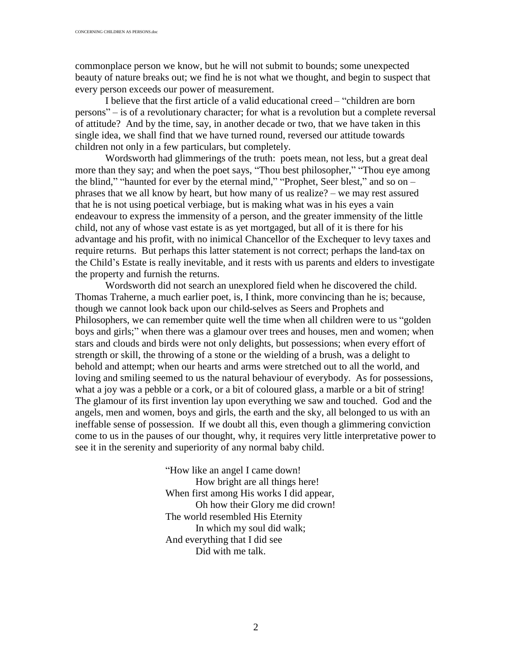commonplace person we know, but he will not submit to bounds; some unexpected beauty of nature breaks out; we find he is not what we thought, and begin to suspect that every person exceeds our power of measurement.

I believe that the first article of a valid educational creed – "children are born  $persons" – is of a revolutionary character; for what is a revolution but a complete reversal$ of attitude? And by the time, say, in another decade or two, that we have taken in this single idea, we shall find that we have turned round, reversed our attitude towards children not only in a few particulars, but completely.

Wordsworth had glimmerings of the truth: poets mean, not less, but a great deal more than they say; and when the poet says, "Thou best philosopher," "Thou eye among the blind," "haunted for ever by the eternal mind," "Prophet, Seer blest," and so on  $$ phrases that we all know by heart, but how many of us realize?  $-$  we may rest assured that he is not using poetical verbiage, but is making what was in his eyes a vain endeavour to express the immensity of a person, and the greater immensity of the little child, not any of whose vast estate is as yet mortgaged, but all of it is there for his advantage and his profit, with no inimical Chancellor of the Exchequer to levy taxes and require returns. But perhaps this latter statement is not correct; perhaps the land-tax on the Child's Estate is really inevitable, and it rests with us parents and elders to investigate the property and furnish the returns.

Wordsworth did not search an unexplored field when he discovered the child. Thomas Traherne, a much earlier poet, is, I think, more convincing than he is; because, though we cannot look back upon our child-selves as Seers and Prophets and Philosophers, we can remember quite well the time when all children were to us "golden" boys and girls;" when there was a glamour over trees and houses, men and women; when stars and clouds and birds were not only delights, but possessions; when every effort of strength or skill, the throwing of a stone or the wielding of a brush, was a delight to behold and attempt; when our hearts and arms were stretched out to all the world, and loving and smiling seemed to us the natural behaviour of everybody. As for possessions, what a joy was a pebble or a cork, or a bit of coloured glass, a marble or a bit of string! The glamour of its first invention lay upon everything we saw and touched. God and the angels, men and women, boys and girls, the earth and the sky, all belonged to us with an ineffable sense of possession. If we doubt all this, even though a glimmering conviction come to us in the pauses of our thought, why, it requires very little interpretative power to see it in the serenity and superiority of any normal baby child.

> " How like an angel I came down! How bright are all things here! When first among His works I did appear, Oh how their Glory me did crown! The world resembled His Eternity In which my soul did walk; And everything that I did see Did with me talk.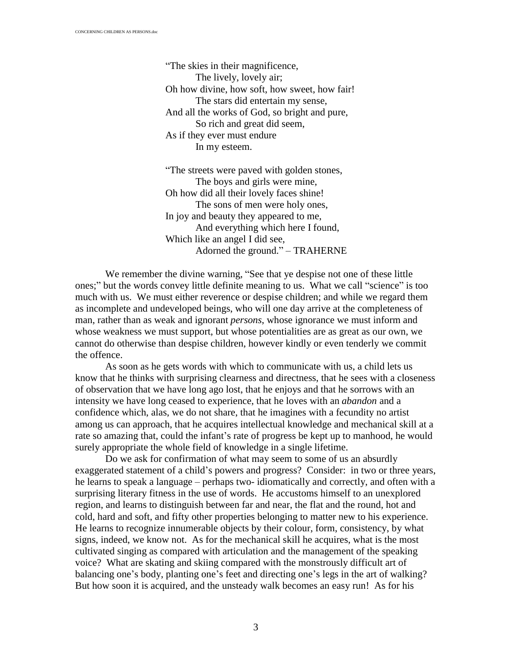" The skies in their magnificence, The lively, lovely air; Oh how divine, how soft, how sweet, how fair! The stars did entertain my sense, And all the works of God, so bright and pure, So rich and great did seem, As if they ever must endure In my esteem.

" The streets were paved with golden stones, The boys and girls were mine, Oh how did all their lovely faces shine! The sons of men were holy ones, In joy and beauty they appeared to me, And everything which here I found, Which like an angel I did see, Adorned the ground."  $-$  TRAHERNE

We remember the divine warning, "See that ye despise not one of these little ones;" but the words convey little definite meaning to us. What we call "science" is too much with us. We must either reverence or despise children; and while we regard them as incomplete and undeveloped beings, who will one day arrive at the completeness of man, rather than as weak and ignorant *persons*, whose ignorance we must inform and whose weakness we must support, but whose potentialities are as great as our own, we cannot do otherwise than despise children, however kindly or even tenderly we commit the offence.

As soon as he gets words with which to communicate with us, a child lets us know that he thinks with surprising clearness and directness, that he sees with a closeness of observation that we have long ago lost, that he enjoys and that he sorrows with an intensity we have long ceased to experience, that he loves with an *abandon* and a confidence which, alas, we do not share, that he imagines with a fecundity no artist among us can approach, that he acquires intellectual knowledge and mechanical skill at a rate so amazing that, could the infant's rate of progress be kept up to manhood, he would surely appropriate the whole field of knowledge in a single lifetime.

Do we ask for confirmation of what may seem to some of us an absurdly exaggerated statement of a child's powers and progress? Consider: in two or three years, he learns to speak a language – perhaps two- idiomatically and correctly, and often with a surprising literary fitness in the use of words. He accustoms himself to an unexplored region, and learns to distinguish between far and near, the flat and the round, hot and cold, hard and soft, and fifty other properties belonging to matter new to his experience. He learns to recognize innumerable objects by their colour, form, consistency, by what signs, indeed, we know not. As for the mechanical skill he acquires, what is the most cultivated singing as compared with articulation and the management of the speaking voice? What are skating and skiing compared with the monstrously difficult art of balancing one's body, planting one's feet and directing one's legs in the art of walking? But how soon it is acquired, and the unsteady walk becomes an easy run! As for his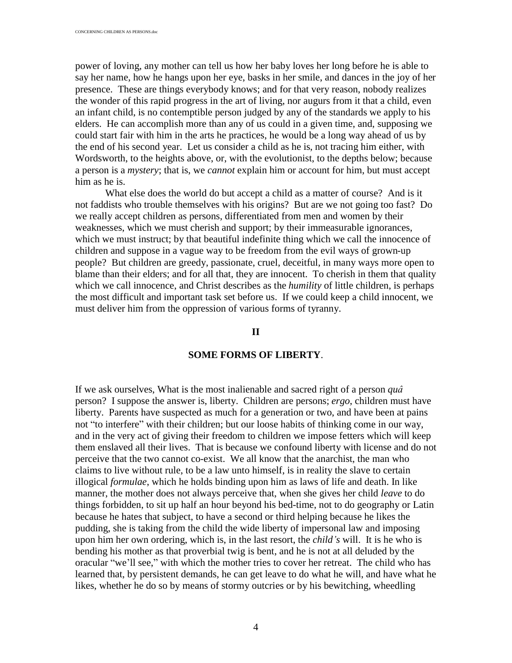power of loving, any mother can tell us how her baby loves her long before he is able to say her name, how he hangs upon her eye, basks in her smile, and dances in the joy of her presence. These are things everybody knows; and for that very reason, nobody realizes the wonder of this rapid progress in the art of living, nor augurs from it that a child, even an infant child, is no contemptible person judged by any of the standards we apply to his elders. He can accomplish more than any of us could in a given time, and, supposing we could start fair with him in the arts he practices, he would be a long way ahead of us by the end of his second year. Let us consider a child as he is, not tracing him either, with Wordsworth, to the heights above, or, with the evolutionist, to the depths below; because a person is a *mystery*; that is, we *cannot* explain him or account for him, but must accept him as he is.

What else does the world do but accept a child as a matter of course? And is it not faddists who trouble themselves with his origins? But are we not going too fast? Do we really accept children as persons, differentiated from men and women by their weaknesses, which we must cherish and support; by their immeasurable ignorances, which we must instruct; by that beautiful indefinite thing which we call the innocence of children and suppose in a vague way to be freedom from the evil ways of grown-up people? But children are greedy, passionate, cruel, deceitful, in many ways more open to blame than their elders; and for all that, they are innocent. To cherish in them that quality which we call innocence, and Christ describes as the *humility* of little children, is perhaps the most difficult and important task set before us. If we could keep a child innocent, we must deliver him from the oppression of various forms of tyranny.

## **II**

#### **SOME FORMS OF LIBERTY**.

If we ask ourselves, What is the most inalienable and sacred right of a person *qua* person? I suppose the answer is, liberty. Children are persons; *ergo*, children must have liberty. Parents have suspected as much for a generation or two, and have been at pains not "to interfere" with their children; but our loose habits of thinking come in our way, and in the very act of giving their freedom to children we impose fetters which will keep them enslaved all their lives. That is because we confound liberty with license and do not perceive that the two cannot co-exist. We all know that the anarchist, the man who claims to live without rule, to be a law unto himself, is in reality the slave to certain illogical *formulae*, which he holds binding upon him as laws of life and death. In like manner, the mother does not always perceive that, when she gives her child *leave* to do things forbidden, to sit up half an hour beyond his bed-time, not to do geography or Latin because he hates that subject, to have a second or third helping because he likes the pudding, she is taking from the child the wide liberty of impersonal law and imposing upon him her own ordering, which is, in the last resort, the *child*'s will. It is he who is bending his mother as that proverbial twig is bent, and he is not at all deluded by the oracular " we' ll see," with which the mother tries to cover her retreat. The child who has learned that, by persistent demands, he can get leave to do what he will, and have what he likes, whether he do so by means of stormy outcries or by his bewitching, wheedling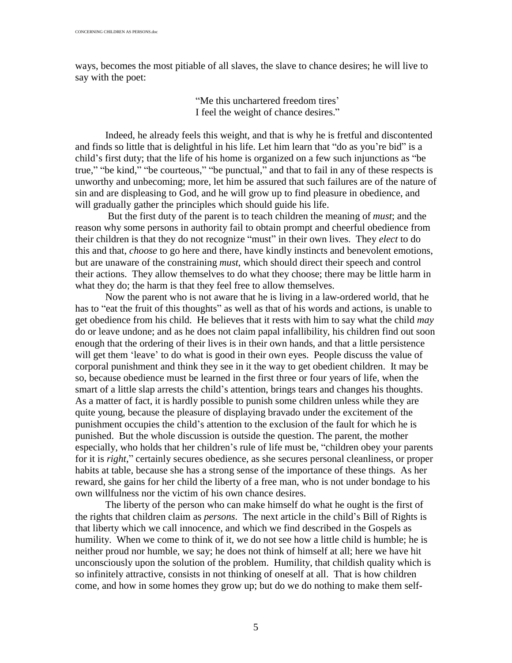ways, becomes the most pitiable of all slaves, the slave to chance desires; he will live to say with the poet:

> "Me this unchartered freedom tires" I feel the weight of chance desires."

Indeed, he already feels this weight, and that is why he is fretful and discontented and finds so little that is delightful in his life. Let him learn that " do as you're bid" is a child's first duty; that the life of his home is organized on a few such injunctions as " be true," "be kind," "be courteous," "be punctual," and that to fail in any of these respects is unworthy and unbecoming; more, let him be assured that such failures are of the nature of sin and are displeasing to God, and he will grow up to find pleasure in obedience, and will gradually gather the principles which should guide his life.

 But the first duty of the parent is to teach children the meaning of *must*; and the reason why some persons in authority fail to obtain prompt and cheerful obedience from their children is that they do not recognize " must" in their own lives. They *elect* to do this and that, *choose* to go here and there, have kindly instincts and benevolent emotions, but are unaware of the constraining *must*, which should direct their speech and control their actions. They allow themselves to do what they choose; there may be little harm in what they do; the harm is that they feel free to allow themselves.

Now the parent who is not aware that he is living in a law-ordered world, that he has to "eat the fruit of this thoughts" as well as that of his words and actions, is unable to get obedience from his child. He believes that it rests with him to say what the child *may* do or leave undone; and as he does not claim papal infallibility, his children find out soon enough that the ordering of their lives is in their own hands, and that a little persistence will get them 'leave' to do what is good in their own eyes. People discuss the value of corporal punishment and think they see in it the way to get obedient children. It may be so, because obedience must be learned in the first three or four years of life, when the smart of a little slap arrests the child's attention, brings tears and changes his thoughts. As a matter of fact, it is hardly possible to punish some children unless while they are quite young, because the pleasure of displaying bravado under the excitement of the punishment occupies the child's attention to the exclusion of the fault for which he is punished. But the whole discussion is outside the question. The parent, the mother especially, who holds that her children's rule of life must be, " children obey your parents for it is *right*," certainly secures obedience, as she secures personal cleanliness, or proper habits at table, because she has a strong sense of the importance of these things. As her reward, she gains for her child the liberty of a free man, who is not under bondage to his own willfulness nor the victim of his own chance desires.

The liberty of the person who can make himself do what he ought is the first of the rights that children claim as *persons*. The next article in the child's Bill of Rights is that liberty which we call innocence, and which we find described in the Gospels as humility. When we come to think of it, we do not see how a little child is humble; he is neither proud nor humble, we say; he does not think of himself at all; here we have hit unconsciously upon the solution of the problem. Humility, that childish quality which is so infinitely attractive, consists in not thinking of oneself at all. That is how children come, and how in some homes they grow up; but do we do nothing to make them self-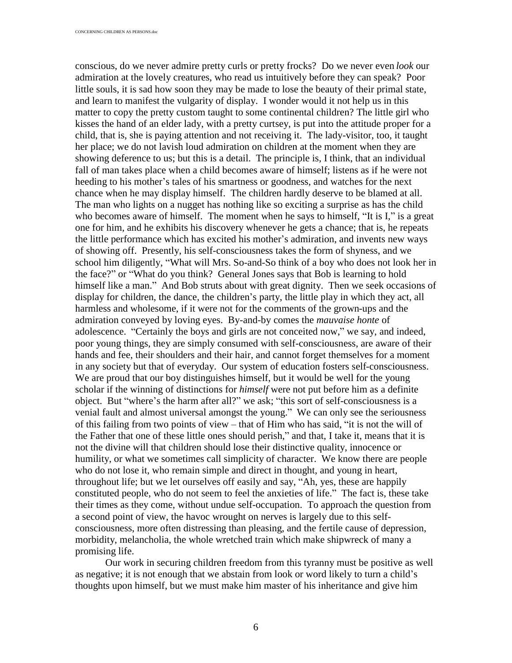conscious, do we never admire pretty curls or pretty frocks? Do we never even *look* our admiration at the lovely creatures, who read us intuitively before they can speak? Poor little souls, it is sad how soon they may be made to lose the beauty of their primal state, and learn to manifest the vulgarity of display. I wonder would it not help us in this matter to copy the pretty custom taught to some continental children? The little girl who kisses the hand of an elder lady, with a pretty curtsey, is put into the attitude proper for a child, that is, she is paying attention and not receiving it. The lady-visitor, too, it taught her place; we do not lavish loud admiration on children at the moment when they are showing deference to us; but this is a detail. The principle is, I think, that an individual fall of man takes place when a child becomes aware of himself; listens as if he were not heeding to his mother's tales of his smartness or goodness, and watches for the next chance when he may display himself. The children hardly deserve to be blamed at all. The man who lights on a nugget has nothing like so exciting a surprise as has the child who becomes aware of himself. The moment when he says to himself, "It is I," is a great one for him, and he exhibits his discovery whenever he gets a chance; that is, he repeats the little performance which has excited his mother's admiration, and invents new ways of showing off. Presently, his self-consciousness takes the form of shyness, and we school him diligently, " What will Mrs. So-and-So think of a boy who does not look her in the face?" or "What do you think? General Jones says that Bob is learning to hold himself like a man." And Bob struts about with great dignity. Then we seek occasions of display for children, the dance, the children's party, the little play in which they act, all harmless and wholesome, if it were not for the comments of the grown-ups and the admiration conveyed by loving eyes. By-and-by comes the *mauvaise honte* of adolescence. "Certainly the boys and girls are not conceited now," we say, and indeed, poor young things, they are simply consumed with self-consciousness, are aware of their hands and fee, their shoulders and their hair, and cannot forget themselves for a moment in any society but that of everyday. Our system of education fosters self-consciousness. We are proud that our boy distinguishes himself, but it would be well for the young scholar if the winning of distinctions for *himself* were not put before him as a definite object. But "where's the harm after all?" we ask; "this sort of self-consciousness is a venial fault and almost universal amongst the young." We can only see the seriousness of this failing from two points of view  $-$  that of Him who has said, "it is not the will of the Father that one of these little ones should perish," and that, I take it, means that it is not the divine will that children should lose their distinctive quality, innocence or humility, or what we sometimes call simplicity of character. We know there are people who do not lose it, who remain simple and direct in thought, and young in heart, throughout life; but we let ourselves off easily and say, " Ah, yes, these are happily constituted people, who do not seem to feel the anxieties of life." The fact is, these take their times as they come, without undue self-occupation. To approach the question from a second point of view, the havoc wrought on nerves is largely due to this selfconsciousness, more often distressing than pleasing, and the fertile cause of depression, morbidity, melancholia, the whole wretched train which make shipwreck of many a promising life.

Our work in securing children freedom from this tyranny must be positive as well as negative; it is not enough that we abstain from look or word likely to turn a child's thoughts upon himself, but we must make him master of his inheritance and give him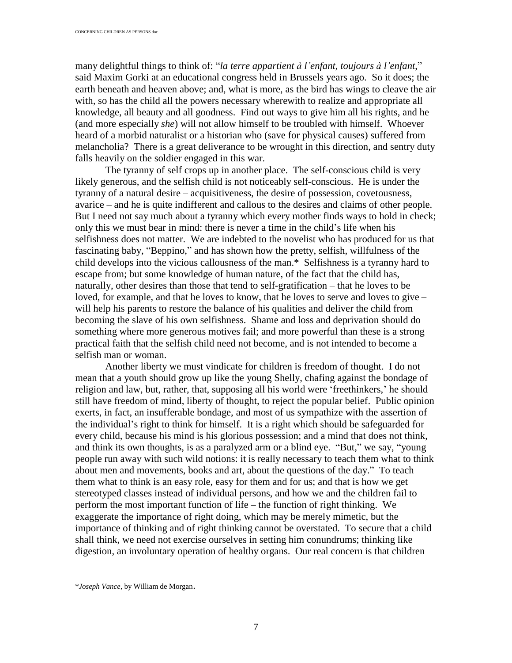many delightful things to think of: " *la terre appartient ` làenfant, toujours ` làenfant*," said Maxim Gorki at an educational congress held in Brussels years ago. So it does; the earth beneath and heaven above; and, what is more, as the bird has wings to cleave the air with, so has the child all the powers necessary wherewith to realize and appropriate all knowledge, all beauty and all goodness. Find out ways to give him all his rights, and he (and more especially *she*) will not allow himself to be troubled with himself. Whoever heard of a morbid naturalist or a historian who (save for physical causes) suffered from melancholia? There is a great deliverance to be wrought in this direction, and sentry duty falls heavily on the soldier engaged in this war.

The tyranny of self crops up in another place. The self-conscious child is very likely generous, and the selfish child is not noticeably self-conscious. He is under the tyranny of a natural desire – acquisitiveness, the desire of possession, covetousness, avarice – and he is quite indifferent and callous to the desires and claims of other people. But I need not say much about a tyranny which every mother finds ways to hold in check; only this we must bear in mind: there is never a time in the child's life when his selfishness does not matter. We are indebted to the novelist who has produced for us that fascinating baby, "Beppino," and has shown how the pretty, selfish, willfulness of the child develops into the vicious callousness of the man.\* Selfishness is a tyranny hard to escape from; but some knowledge of human nature, of the fact that the child has, naturally, other desires than those that tend to self-gratification – that he loves to be loved, for example, and that he loves to know, that he loves to serve and loves to give  $$ will help his parents to restore the balance of his qualities and deliver the child from becoming the slave of his own selfishness. Shame and loss and deprivation should do something where more generous motives fail; and more powerful than these is a strong practical faith that the selfish child need not become, and is not intended to become a selfish man or woman.

Another liberty we must vindicate for children is freedom of thought. I do not mean that a youth should grow up like the young Shelly, chafing against the bondage of religion and law, but, rather, that, supposing all his world were 'freethinkers,' he should still have freedom of mind, liberty of thought, to reject the popular belief. Public opinion exerts, in fact, an insufferable bondage, and most of us sympathize with the assertion of the individual's right to think for himself. It is a right which should be safeguarded for every child, because his mind is his glorious possession; and a mind that does not think, and think its own thoughts, is as a paralyzed arm or a blind eye. " But," we say, " young people run away with such wild notions: it is really necessary to teach them what to think about men and movements, books and art, about the questions of the day." To teach them what to think is an easy role, easy for them and for us; and that is how we get stereotyped classes instead of individual persons, and how we and the children fail to perform the most important function of life  $-$  the function of right thinking. We exaggerate the importance of right doing, which may be merely mimetic, but the importance of thinking and of right thinking cannot be overstated. To secure that a child shall think, we need not exercise ourselves in setting him conundrums; thinking like digestion, an involuntary operation of healthy organs. Our real concern is that children

\**Joseph Vance*, by William de Morgan.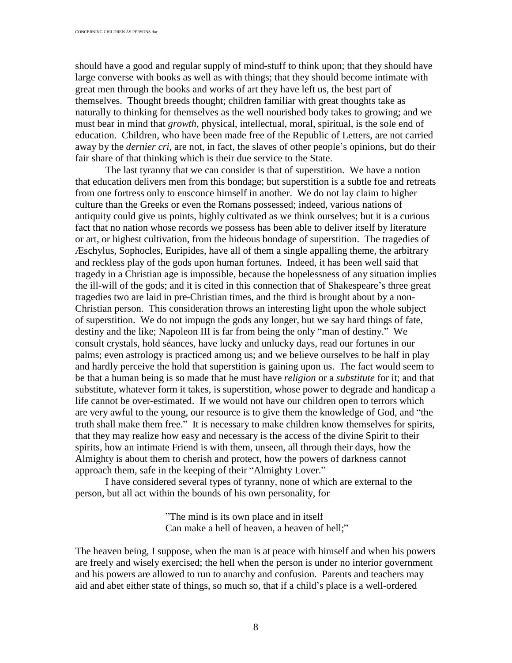should have a good and regular supply of mind-stuff to think upon; that they should have large converse with books as well as with things; that they should become intimate with great men through the books and works of art they have left us, the best part of themselves. Thought breeds thought; children familiar with great thoughts take as naturally to thinking for themselves as the well nourished body takes to growing; and we must bear in mind that *growth*, physical, intellectual, moral, spiritual, is the sole end of education. Children, who have been made free of the Republic of Letters, are not carried away by the *dernier cri*, are not, in fact, the slaves of other people's opinions, but do their fair share of that thinking which is their due service to the State.

The last tyranny that we can consider is that of superstition. We have a notion that education delivers men from this bondage; but superstition is a subtle foe and retreats from one fortress only to ensconce himself in another. We do not lay claim to higher culture than the Greeks or even the Romans possessed; indeed, various nations of antiquity could give us points, highly cultivated as we think ourselves; but it is a curious fact that no nation whose records we possess has been able to deliver itself by literature or art, or highest cultivation, from the hideous bondage of superstition. The tragedies of é schylus, Sophocles, Euripides, have all of them a single appalling theme, the arbitrary and reckless play of the gods upon human fortunes. Indeed, it has been well said that tragedy in a Christian age is impossible, because the hopelessness of any situation implies the ill-will of the gods; and it is cited in this connection that of Shakespeare's three great tragedies two are laid in pre-Christian times, and the third is brought about by a non-Christian person. This consideration throws an interesting light upon the whole subject of superstition. We do not impugn the gods any longer, but we say hard things of fate, destiny and the like; Napoleon III is far from being the only "man of destiny." We consult crystals, hold seances, have lucky and unlucky days, read our fortunes in our palms; even astrology is practiced among us; and we believe ourselves to be half in play and hardly perceive the hold that superstition is gaining upon us. The fact would seem to be that a human being is so made that he must have *religion* or a *substitute* for it; and that substitute, whatever form it takes, is superstition, whose power to degrade and handicap a life cannot be over-estimated. If we would not have our children open to terrors which are very awful to the young, our resource is to give them the knowledge of God, and " the truth shall make them free." It is necessary to make children know themselves for spirits, that they may realize how easy and necessary is the access of the divine Spirit to their spirits, how an intimate Friend is with them, unseen, all through their days, how the Almighty is about them to cherish and protect, how the powers of darkness cannot approach them, safe in the keeping of their " Almighty Lover."

I have considered several types of tyranny, none of which are external to the person, but all act within the bounds of his own personality, for  $-$ 

> "The mind is its own place and in itself Can make a hell of heaven, a heaven of hell;"

The heaven being, I suppose, when the man is at peace with himself and when his powers are freely and wisely exercised; the hell when the person is under no interior government and his powers are allowed to run to anarchy and confusion. Parents and teachers may aid and abet either state of things, so much so, that if a child's place is a well-ordered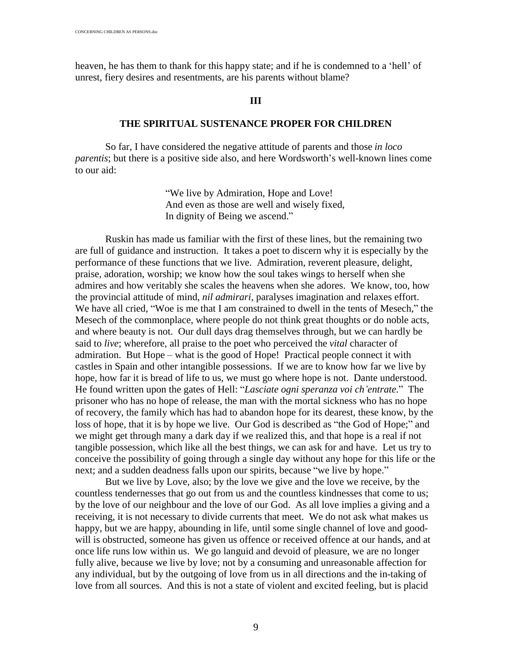heaven, he has them to thank for this happy state; and if he is condemned to a 'hell' of unrest, fiery desires and resentments, are his parents without blame?

# **III**

## **THE SPIRITUAL SUSTENANCE PROPER FOR CHILDREN**

So far, I have considered the negative attitude of parents and those *in loco parentis*; but there is a positive side also, and here Wordsworth's well-known lines come to our aid:

> " We live by Admiration, Hope and Love! And even as those are well and wisely fixed, In dignity of Being we ascend."

Ruskin has made us familiar with the first of these lines, but the remaining two are full of guidance and instruction. It takes a poet to discern why it is especially by the performance of these functions that we live. Admiration, reverent pleasure, delight, praise, adoration, worship; we know how the soul takes wings to herself when she admires and how veritably she scales the heavens when she adores. We know, too, how the provincial attitude of mind, *nil admirari*, paralyses imagination and relaxes effort. We have all cried, "Woe is me that I am constrained to dwell in the tents of Mesech," the Mesech of the commonplace, where people do not think great thoughts or do noble acts, and where beauty is not. Our dull days drag themselves through, but we can hardly be said to *live*; wherefore, all praise to the poet who perceived the *vital* character of admiration. But Hope – what is the good of Hope! Practical people connect it with castles in Spain and other intangible possessions. If we are to know how far we live by hope, how far it is bread of life to us, we must go where hope is not. Dante understood. He found written upon the gates of Hell: "*Lasciate ogni speranza voi ch'entrate*." The prisoner who has no hope of release, the man with the mortal sickness who has no hope of recovery, the family which has had to abandon hope for its dearest, these know, by the loss of hope, that it is by hope we live. Our God is described as "the God of Hope;" and we might get through many a dark day if we realized this, and that hope is a real if not tangible possession, which like all the best things, we can ask for and have. Let us try to conceive the possibility of going through a single day without any hope for this life or the next; and a sudden deadness falls upon our spirits, because "we live by hope."

But we live by Love, also; by the love we give and the love we receive, by the countless tendernesses that go out from us and the countless kindnesses that come to us; by the love of our neighbour and the love of our God. As all love implies a giving and a receiving, it is not necessary to divide currents that meet. We do not ask what makes us happy, but we are happy, abounding in life, until some single channel of love and goodwill is obstructed, someone has given us offence or received offence at our hands, and at once life runs low within us. We go languid and devoid of pleasure, we are no longer fully alive, because we live by love; not by a consuming and unreasonable affection for any individual, but by the outgoing of love from us in all directions and the in-taking of love from all sources. And this is not a state of violent and excited feeling, but is placid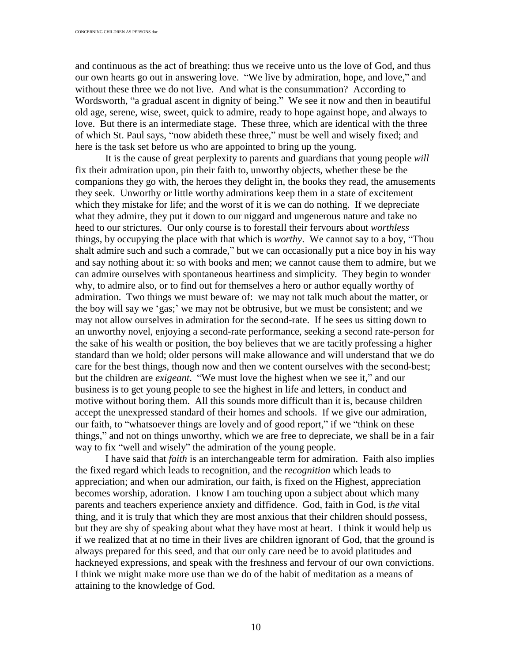and continuous as the act of breathing: thus we receive unto us the love of God, and thus our own hearts go out in answering love. " We live by admiration, hope, and love," and without these three we do not live. And what is the consummation? According to Wordsworth, "a gradual ascent in dignity of being." We see it now and then in beautiful old age, serene, wise, sweet, quick to admire, ready to hope against hope, and always to love. But there is an intermediate stage. These three, which are identical with the three of which St. Paul says, " now abideth these three," must be well and wisely fixed; and here is the task set before us who are appointed to bring up the young.

It is the cause of great perplexity to parents and guardians that young people *will* fix their admiration upon, pin their faith to, unworthy objects, whether these be the companions they go with, the heroes they delight in, the books they read, the amusements they seek. Unworthy or little worthy admirations keep them in a state of excitement which they mistake for life; and the worst of it is we can do nothing. If we depreciate what they admire, they put it down to our niggard and ungenerous nature and take no heed to our strictures. Our only course is to forestall their fervours about *worthless* things, by occupying the place with that which is *worthy*. We cannot say to a boy, " Thou shalt admire such and such a comrade," but we can occasionally put a nice boy in his way and say nothing about it: so with books and men; we cannot cause them to admire, but we can admire ourselves with spontaneous heartiness and simplicity. They begin to wonder why, to admire also, or to find out for themselves a hero or author equally worthy of admiration. Two things we must beware of: we may not talk much about the matter, or the boy will say we 'gas;' we may not be obtrusive, but we must be consistent; and we may not allow ourselves in admiration for the second-rate. If he sees us sitting down to an unworthy novel, enjoying a second-rate performance, seeking a second rate-person for the sake of his wealth or position, the boy believes that we are tacitly professing a higher standard than we hold; older persons will make allowance and will understand that we do care for the best things, though now and then we content ourselves with the second-best; but the children are *exigeant*. " We must love the highest when we see it," and our business is to get young people to see the highest in life and letters, in conduct and motive without boring them. All this sounds more difficult than it is, because children accept the unexpressed standard of their homes and schools. If we give our admiration, our faith, to "whatsoever things are lovely and of good report," if we "think on these things," and not on things unworthy, which we are free to depreciate, we shall be in a fair way to fix "well and wisely" the admiration of the young people.

I have said that *faith* is an interchangeable term for admiration. Faith also implies the fixed regard which leads to recognition, and the *recognition* which leads to appreciation; and when our admiration, our faith, is fixed on the Highest, appreciation becomes worship, adoration. I know I am touching upon a subject about which many parents and teachers experience anxiety and diffidence. God, faith in God, is *the* vital thing, and it is truly that which they are most anxious that their children should possess, but they are shy of speaking about what they have most at heart. I think it would help us if we realized that at no time in their lives are children ignorant of God, that the ground is always prepared for this seed, and that our only care need be to avoid platitudes and hackneyed expressions, and speak with the freshness and fervour of our own convictions. I think we might make more use than we do of the habit of meditation as a means of attaining to the knowledge of God.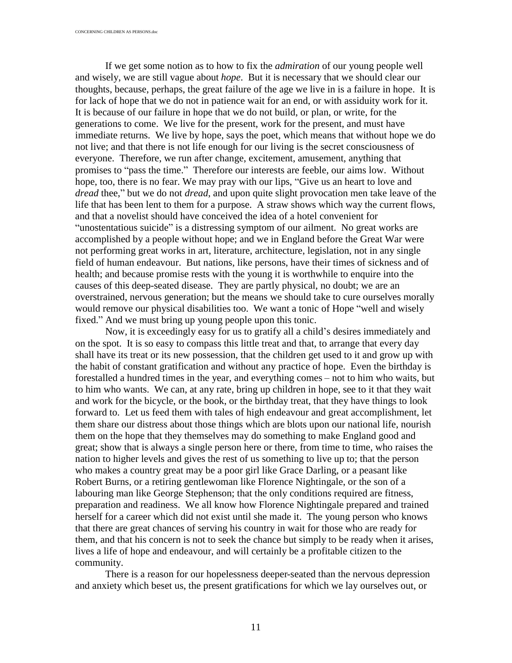If we get some notion as to how to fix the *admiration* of our young people well and wisely, we are still vague about *hope*. But it is necessary that we should clear our thoughts, because, perhaps, the great failure of the age we live in is a failure in hope. It is for lack of hope that we do not in patience wait for an end, or with assiduity work for it. It is because of our failure in hope that we do not build, or plan, or write, for the generations to come. We live for the present, work for the present, and must have immediate returns. We live by hope, says the poet, which means that without hope we do not live; and that there is not life enough for our living is the secret consciousness of everyone. Therefore, we run after change, excitement, amusement, anything that promises to "pass the time." Therefore our interests are feeble, our aims low. Without hope, too, there is no fear. We may pray with our lips, "Give us an heart to love and *dread* thee," but we do not *dread*, and upon quite slight provocation men take leave of the life that has been lent to them for a purpose. A straw shows which way the current flows, and that a novelist should have conceived the idea of a hotel convenient for " unostentatious suicide" is a distressing symptom of our ailment. No great works are accomplished by a people without hope; and we in England before the Great War were not performing great works in art, literature, architecture, legislation, not in any single field of human endeavour. But nations, like persons, have their times of sickness and of health; and because promise rests with the young it is worthwhile to enquire into the causes of this deep-seated disease. They are partly physical, no doubt; we are an overstrained, nervous generation; but the means we should take to cure ourselves morally would remove our physical disabilities too. We want a tonic of Hope "well and wisely fixed." And we must bring up young people upon this tonic.

Now, it is exceedingly easy for us to gratify all a child's desires immediately and on the spot. It is so easy to compass this little treat and that, to arrange that every day shall have its treat or its new possession, that the children get used to it and grow up with the habit of constant gratification and without any practice of hope. Even the birthday is forestalled a hundred times in the year, and everything comes – not to him who waits, but to him who wants. We can, at any rate, bring up children in hope, see to it that they wait and work for the bicycle, or the book, or the birthday treat, that they have things to look forward to. Let us feed them with tales of high endeavour and great accomplishment, let them share our distress about those things which are blots upon our national life, nourish them on the hope that they themselves may do something to make England good and great; show that is always a single person here or there, from time to time, who raises the nation to higher levels and gives the rest of us something to live up to; that the person who makes a country great may be a poor girl like Grace Darling, or a peasant like Robert Burns, or a retiring gentlewoman like Florence Nightingale, or the son of a labouring man like George Stephenson; that the only conditions required are fitness, preparation and readiness. We all know how Florence Nightingale prepared and trained herself for a career which did not exist until she made it. The young person who knows that there are great chances of serving his country in wait for those who are ready for them, and that his concern is not to seek the chance but simply to be ready when it arises, lives a life of hope and endeavour, and will certainly be a profitable citizen to the community.

There is a reason for our hopelessness deeper-seated than the nervous depression and anxiety which beset us, the present gratifications for which we lay ourselves out, or

11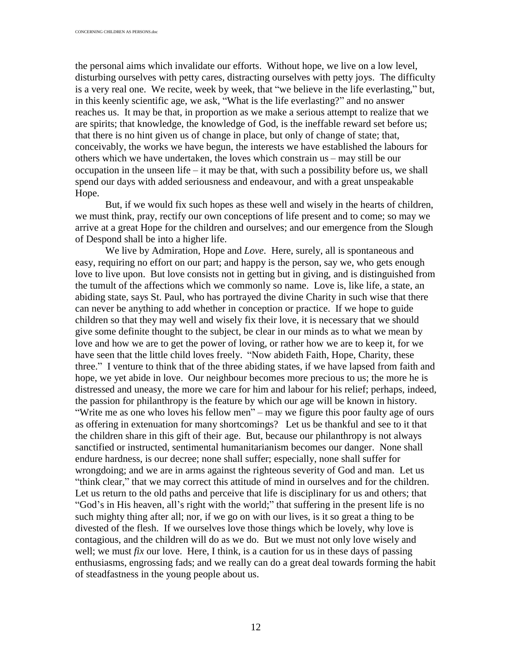the personal aims which invalidate our efforts. Without hope, we live on a low level, disturbing ourselves with petty cares, distracting ourselves with petty joys. The difficulty is a very real one. We recite, week by week, that "we believe in the life everlasting," but, in this keenly scientific age, we ask, " What is the life everlasting?" and no answer reaches us. It may be that, in proportion as we make a serious attempt to realize that we are spirits; that knowledge, the knowledge of God, is the ineffable reward set before us; that there is no hint given us of change in place, but only of change of state; that, conceivably, the works we have begun, the interests we have established the labours for others which we have undertaken, the loves which constrain us – may still be our occupation in the unseen life  $-$  it may be that, with such a possibility before us, we shall spend our days with added seriousness and endeavour, and with a great unspeakable Hope.

But, if we would fix such hopes as these well and wisely in the hearts of children, we must think, pray, rectify our own conceptions of life present and to come; so may we arrive at a great Hope for the children and ourselves; and our emergence from the Slough of Despond shall be into a higher life.

We live by Admiration, Hope and *Love*. Here, surely, all is spontaneous and easy, requiring no effort on our part; and happy is the person, say we, who gets enough love to live upon. But love consists not in getting but in giving, and is distinguished from the tumult of the affections which we commonly so name. Love is, like life, a state, an abiding state, says St. Paul, who has portrayed the divine Charity in such wise that there can never be anything to add whether in conception or practice. If we hope to guide children so that they may well and wisely fix their love, it is necessary that we should give some definite thought to the subject, be clear in our minds as to what we mean by love and how we are to get the power of loving, or rather how we are to keep it, for we have seen that the little child loves freely. " Now abideth Faith, Hope, Charity, these three." I venture to think that of the three abiding states, if we have lapsed from faith and hope, we yet abide in love. Our neighbour becomes more precious to us; the more he is distressed and uneasy, the more we care for him and labour for his relief; perhaps, indeed, the passion for philanthropy is the feature by which our age will be known in history. "Write me as one who loves his fellow men" – may we figure this poor faulty age of ours as offering in extenuation for many shortcomings? Let us be thankful and see to it that the children share in this gift of their age. But, because our philanthropy is not always sanctified or instructed, sentimental humanitarianism becomes our danger. None shall endure hardness, is our decree; none shall suffer; especially, none shall suffer for wrongdoing; and we are in arms against the righteous severity of God and man. Let us "think clear," that we may correct this attitude of mind in ourselves and for the children. Let us return to the old paths and perceive that life is disciplinary for us and others; that " God's in His heaven, all's right with the world;" that suffering in the present life is no such mighty thing after all; nor, if we go on with our lives, is it so great a thing to be divested of the flesh. If we ourselves love those things which be lovely, why love is contagious, and the children will do as we do. But we must not only love wisely and well; we must *fix* our love. Here, I think, is a caution for us in these days of passing enthusiasms, engrossing fads; and we really can do a great deal towards forming the habit of steadfastness in the young people about us.